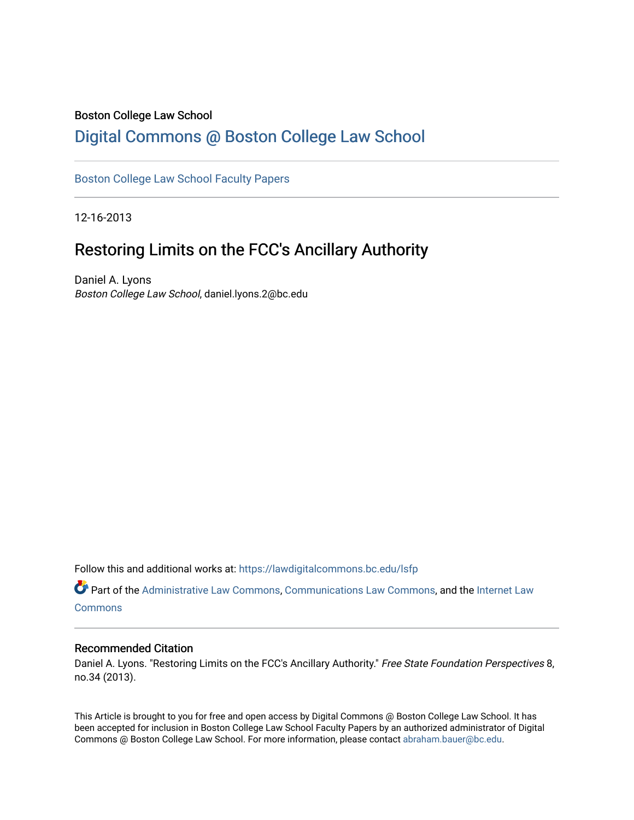### Boston College Law School

## [Digital Commons @ Boston College Law School](https://lawdigitalcommons.bc.edu/)

### [Boston College Law School Faculty Papers](https://lawdigitalcommons.bc.edu/lsfp)

12-16-2013

# Restoring Limits on the FCC's Ancillary Authority

Daniel A. Lyons Boston College Law School, daniel.lyons.2@bc.edu

Follow this and additional works at: [https://lawdigitalcommons.bc.edu/lsfp](https://lawdigitalcommons.bc.edu/lsfp?utm_source=lawdigitalcommons.bc.edu%2Flsfp%2F722&utm_medium=PDF&utm_campaign=PDFCoverPages) 

Part of the [Administrative Law Commons,](http://network.bepress.com/hgg/discipline/579?utm_source=lawdigitalcommons.bc.edu%2Flsfp%2F722&utm_medium=PDF&utm_campaign=PDFCoverPages) [Communications Law Commons,](http://network.bepress.com/hgg/discipline/587?utm_source=lawdigitalcommons.bc.edu%2Flsfp%2F722&utm_medium=PDF&utm_campaign=PDFCoverPages) and the [Internet Law](http://network.bepress.com/hgg/discipline/892?utm_source=lawdigitalcommons.bc.edu%2Flsfp%2F722&utm_medium=PDF&utm_campaign=PDFCoverPages)  **[Commons](http://network.bepress.com/hgg/discipline/892?utm_source=lawdigitalcommons.bc.edu%2Flsfp%2F722&utm_medium=PDF&utm_campaign=PDFCoverPages)** 

#### Recommended Citation

Daniel A. Lyons. "Restoring Limits on the FCC's Ancillary Authority." Free State Foundation Perspectives 8, no.34 (2013).

This Article is brought to you for free and open access by Digital Commons @ Boston College Law School. It has been accepted for inclusion in Boston College Law School Faculty Papers by an authorized administrator of Digital Commons @ Boston College Law School. For more information, please contact [abraham.bauer@bc.edu.](mailto:abraham.bauer@bc.edu)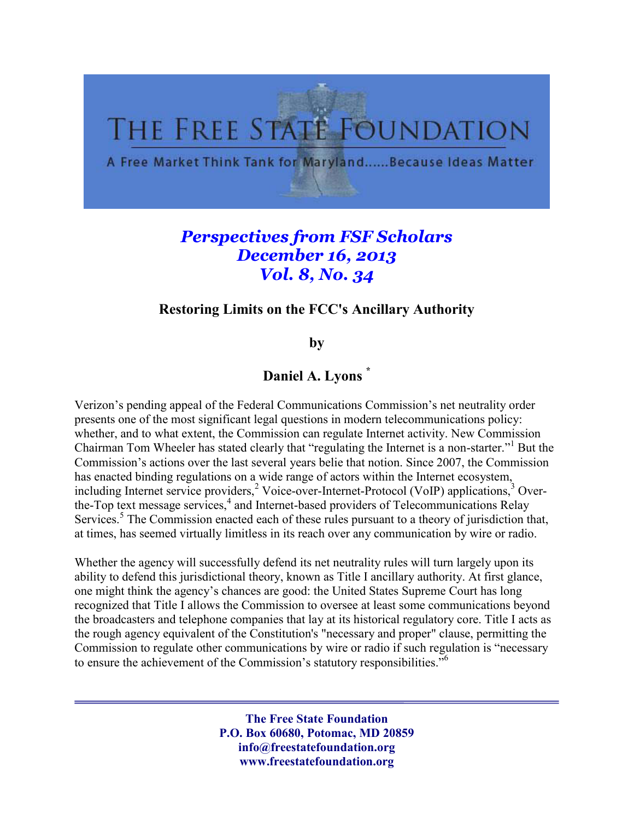

# *Perspectives from FSF Scholars December 16, 2013 Vol. 8, No. 34*

## **Restoring Limits on the FCC's Ancillary Authority**

**by**

**Daniel A. Lyons \***

Verizon's pending appeal of the Federal Communications Commission's net neutrality order presents one of the most significant legal questions in modern telecommunications policy: whether, and to what extent, the Commission can regulate Internet activity. New Commission Chairman Tom Wheeler has stated clearly that "regulating the Internet is a non-starter."<sup>1</sup> But the Commission's actions over the last several years belie that notion. Since 2007, the Commission has enacted binding regulations on a wide range of actors within the Internet ecosystem, including Internet service providers,<sup>2</sup> Voice-over-Internet-Protocol (VoIP) applications,<sup>3</sup> Overthe-Top text message services,<sup>4</sup> and Internet-based providers of Telecommunications Relay Services.<sup>5</sup> The Commission enacted each of these rules pursuant to a theory of jurisdiction that, at times, has seemed virtually limitless in its reach over any communication by wire or radio.

Whether the agency will successfully defend its net neutrality rules will turn largely upon its ability to defend this jurisdictional theory, known as Title I ancillary authority. At first glance, one might think the agency's chances are good: the United States Supreme Court has long recognized that Title I allows the Commission to oversee at least some communications beyond the broadcasters and telephone companies that lay at its historical regulatory core. Title I acts as the rough agency equivalent of the Constitution's "necessary and proper" clause, permitting the Commission to regulate other communications by wire or radio if such regulation is "necessary to ensure the achievement of the Commission's statutory responsibilities.<sup>"6</sup>

> **The Free State Foundation P.O. Box 60680, Potomac, MD 20859 info@freestatefoundation.org www.freestatefoundation.org**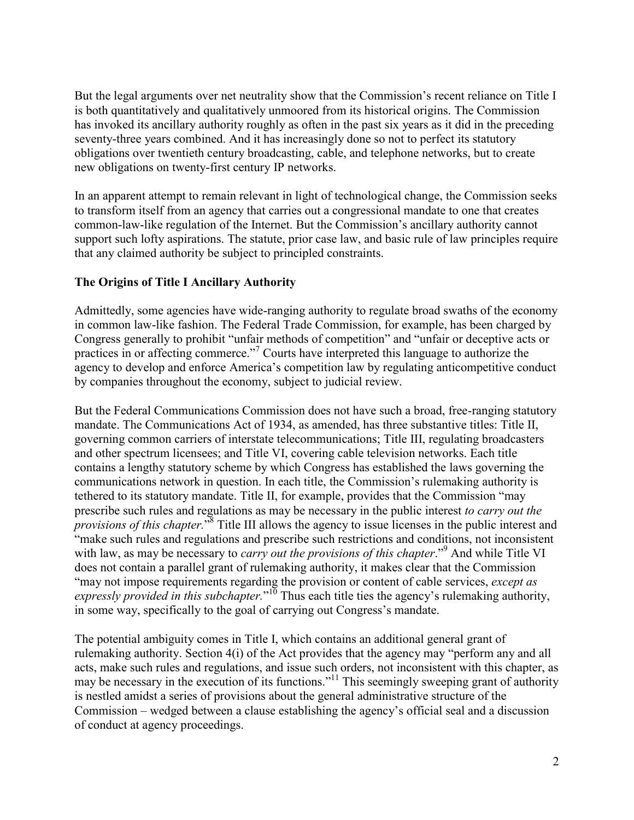But the legal arguments over net neutrality show that the Commission's recent reliance on Title I is both quantitatively and qualitatively unmoored from its historical origins. The Commission has invoked its ancillary authority roughly as often in the past six years as it did in the preceding seventy-three years combined. And it has increasingly done so not to perfect its statutory obligations over twentieth century broadcasting, cable, and telephone networks, but to create new obligations on twenty-first century IP networks.

In an apparent attempt to remain relevant in light of technological change, the Commission seeks to transform itself from an agency that carries out a congressional mandate to one that creates common-law-like regulation of the Internet. But the Commission's ancillary authority cannot support such lofty aspirations. The statute, prior case law, and basic rule of law principles require that any claimed authority be subject to principled constraints.

## **The Origins of Title I Ancillary Authority**

Admittedly, some agencies have wide-ranging authority to regulate broad swaths of the economy in common law-like fashion. The Federal Trade Commission, for example, has been charged by Congress generally to prohibit "unfair methods of competition" and "unfair or deceptive acts or practices in or affecting commerce."<sup>7</sup> Courts have interpreted this language to authorize the agency to develop and enforce America's competition law by regulating anticompetitive conduct by companies throughout the economy, subject to judicial review.

But the Federal Communications Commission does not have such a broad, free-ranging statutory mandate. The Communications Act of 1934, as amended, has three substantive titles: Title II, governing common carriers of interstate telecommunications; Title III, regulating broadcasters and other spectrum licensees; and Title VI, covering cable television networks. Each title contains a lengthy statutory scheme by which Congress has established the laws governing the communications network in question. In each title, the Commission's rulemaking authority is tethered to its statutory mandate. Title II, for example, provides that the Commission "may prescribe such rules and regulations as may be necessary in the public interest *to carry out the provisions of this chapter*.<sup>38</sup> Title III allows the agency to issue licenses in the public interest and "make such rules and regulations and prescribe such restrictions and conditions, not inconsistent with law, as may be necessary to *carry out the provisions of this chapter*."<sup>9</sup> And while Title VI does not contain a parallel grant of rulemaking authority, it makes clear that the Commission "may not impose requirements regarding the provision or content of cable services, *except as*  expressly provided in this subchapter."<sup>10</sup> Thus each title ties the agency's rulemaking authority, in some way, specifically to the goal of carrying out Congress's mandate.

The potential ambiguity comes in Title I, which contains an additional general grant of rulemaking authority. Section 4(i) of the Act provides that the agency may "perform any and all acts, make such rules and regulations, and issue such orders, not inconsistent with this chapter, as may be necessary in the execution of its functions."<sup>11</sup> This seemingly sweeping grant of authority is nestled amidst a series of provisions about the general administrative structure of the Commission – wedged between a clause establishing the agency's official seal and a discussion of conduct at agency proceedings.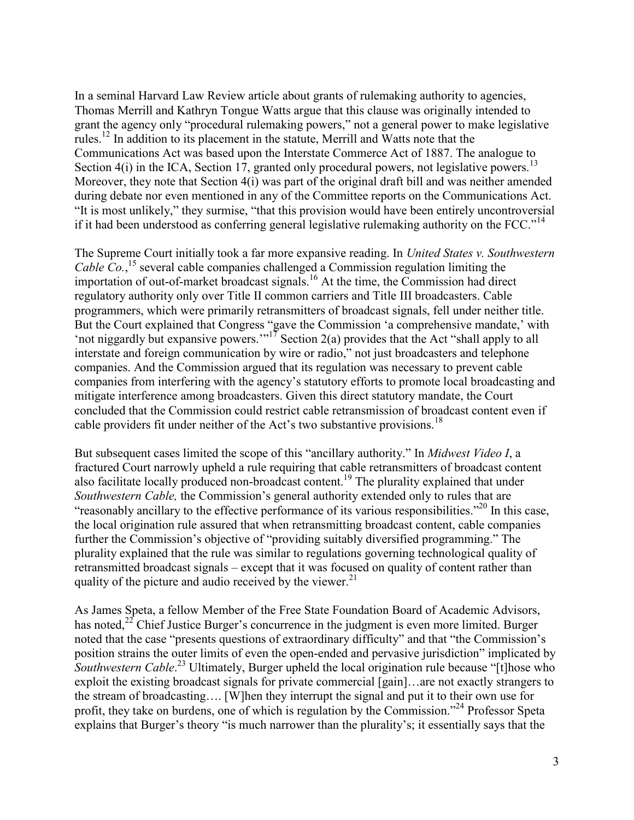In a seminal Harvard Law Review article about grants of rulemaking authority to agencies, Thomas Merrill and Kathryn Tongue Watts argue that this clause was originally intended to grant the agency only "procedural rulemaking powers," not a general power to make legislative rules.<sup>12</sup> In addition to its placement in the statute, Merrill and Watts note that the Communications Act was based upon the Interstate Commerce Act of 1887. The analogue to Section  $4(i)$  in the ICA, Section 17, granted only procedural powers, not legislative powers.<sup>13</sup> Moreover, they note that Section 4(i) was part of the original draft bill and was neither amended during debate nor even mentioned in any of the Committee reports on the Communications Act. "It is most unlikely," they surmise, "that this provision would have been entirely uncontroversial if it had been understood as conferring general legislative rulemaking authority on the FCC."<sup>14</sup>

The Supreme Court initially took a far more expansive reading. In *United States v. Southwestern*  Cable Co.,<sup>15</sup> several cable companies challenged a Commission regulation limiting the importation of out-of-market broadcast signals.<sup>16</sup> At the time, the Commission had direct regulatory authority only over Title II common carriers and Title III broadcasters. Cable programmers, which were primarily retransmitters of broadcast signals, fell under neither title. But the Court explained that Congress "gave the Commission 'a comprehensive mandate,' with 'not niggardly but expansive powers.'"<sup>17</sup> Section 2(a) provides that the Act "shall apply to all interstate and foreign communication by wire or radio," not just broadcasters and telephone companies. And the Commission argued that its regulation was necessary to prevent cable companies from interfering with the agency's statutory efforts to promote local broadcasting and mitigate interference among broadcasters. Given this direct statutory mandate, the Court concluded that the Commission could restrict cable retransmission of broadcast content even if cable providers fit under neither of the Act's two substantive provisions.<sup>18</sup>

But subsequent cases limited the scope of this "ancillary authority." In *Midwest Video I*, a fractured Court narrowly upheld a rule requiring that cable retransmitters of broadcast content also facilitate locally produced non-broadcast content.<sup>19</sup> The plurality explained that under *Southwestern Cable,* the Commission's general authority extended only to rules that are "reasonably ancillary to the effective performance of its various responsibilities."<sup>20</sup> In this case, the local origination rule assured that when retransmitting broadcast content, cable companies further the Commission's objective of "providing suitably diversified programming." The plurality explained that the rule was similar to regulations governing technological quality of retransmitted broadcast signals – except that it was focused on quality of content rather than quality of the picture and audio received by the viewer. $^{21}$ 

As James Speta, a fellow Member of the Free State Foundation Board of Academic Advisors, has noted,<sup>22</sup> Chief Justice Burger's concurrence in the judgment is even more limited. Burger noted that the case "presents questions of extraordinary difficulty" and that "the Commission's position strains the outer limits of even the open-ended and pervasive jurisdiction" implicated by Southwestern Cable.<sup>23</sup> Ultimately, Burger upheld the local origination rule because "[t]hose who exploit the existing broadcast signals for private commercial [gain]…are not exactly strangers to the stream of broadcasting…. [W]hen they interrupt the signal and put it to their own use for profit, they take on burdens, one of which is regulation by the Commission."<sup>24</sup> Professor Speta explains that Burger's theory "is much narrower than the plurality's; it essentially says that the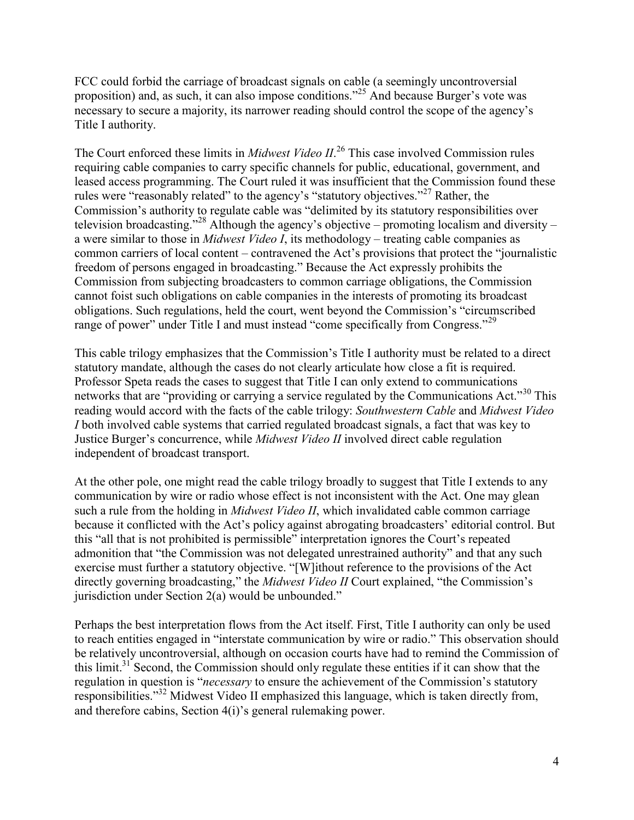FCC could forbid the carriage of broadcast signals on cable (a seemingly uncontroversial proposition) and, as such, it can also impose conditions."<sup>25</sup> And because Burger's vote was necessary to secure a majority, its narrower reading should control the scope of the agency's Title I authority.

The Court enforced these limits in *Midwest Video II*. <sup>26</sup> This case involved Commission rules requiring cable companies to carry specific channels for public, educational, government, and leased access programming. The Court ruled it was insufficient that the Commission found these rules were "reasonably related" to the agency's "statutory objectives."<sup>27</sup> Rather, the Commission's authority to regulate cable was "delimited by its statutory responsibilities over television broadcasting."<sup>28</sup> Although the agency's objective – promoting localism and diversity – a were similar to those in *Midwest Video I*, its methodology – treating cable companies as common carriers of local content – contravened the Act's provisions that protect the "journalistic freedom of persons engaged in broadcasting." Because the Act expressly prohibits the Commission from subjecting broadcasters to common carriage obligations, the Commission cannot foist such obligations on cable companies in the interests of promoting its broadcast obligations. Such regulations, held the court, went beyond the Commission's "circumscribed range of power" under Title I and must instead "come specifically from Congress."<sup>29</sup>

This cable trilogy emphasizes that the Commission's Title I authority must be related to a direct statutory mandate, although the cases do not clearly articulate how close a fit is required. Professor Speta reads the cases to suggest that Title I can only extend to communications networks that are "providing or carrying a service regulated by the Communications Act."<sup>30</sup> This reading would accord with the facts of the cable trilogy: *Southwestern Cable* and *Midwest Video I* both involved cable systems that carried regulated broadcast signals, a fact that was key to Justice Burger's concurrence, while *Midwest Video II* involved direct cable regulation independent of broadcast transport.

At the other pole, one might read the cable trilogy broadly to suggest that Title I extends to any communication by wire or radio whose effect is not inconsistent with the Act. One may glean such a rule from the holding in *Midwest Video II*, which invalidated cable common carriage because it conflicted with the Act's policy against abrogating broadcasters' editorial control. But this "all that is not prohibited is permissible" interpretation ignores the Court's repeated admonition that "the Commission was not delegated unrestrained authority" and that any such exercise must further a statutory objective. "[W]ithout reference to the provisions of the Act directly governing broadcasting," the *Midwest Video II* Court explained, "the Commission's jurisdiction under Section 2(a) would be unbounded."

Perhaps the best interpretation flows from the Act itself. First, Title I authority can only be used to reach entities engaged in "interstate communication by wire or radio." This observation should be relatively uncontroversial, although on occasion courts have had to remind the Commission of this limit.<sup>31</sup> Second, the Commission should only regulate these entities if it can show that the regulation in question is "*necessary* to ensure the achievement of the Commission's statutory responsibilities."<sup>32</sup> Midwest Video II emphasized this language, which is taken directly from, and therefore cabins, Section 4(i)'s general rulemaking power.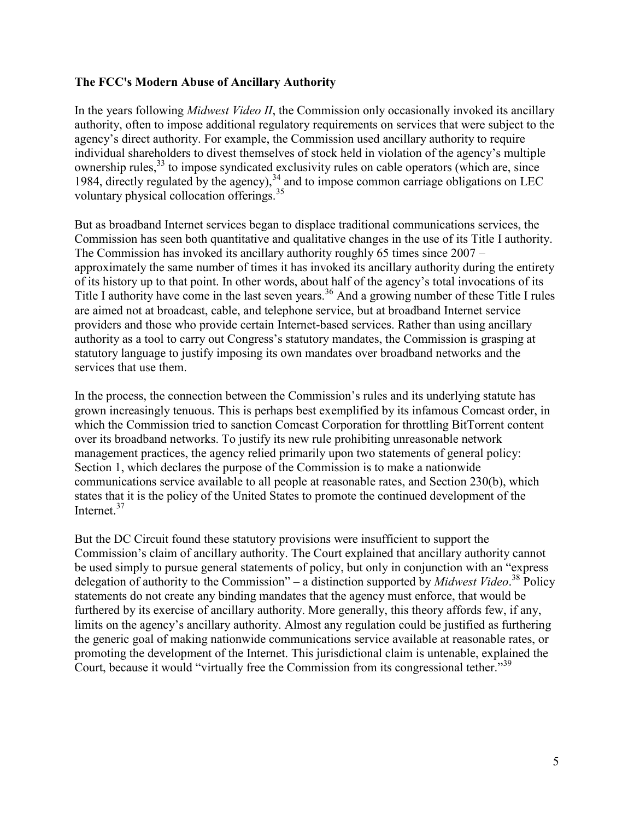### **The FCC's Modern Abuse of Ancillary Authority**

In the years following *Midwest Video II*, the Commission only occasionally invoked its ancillary authority, often to impose additional regulatory requirements on services that were subject to the agency's direct authority. For example, the Commission used ancillary authority to require individual shareholders to divest themselves of stock held in violation of the agency's multiple ownership rules,<sup>33</sup> to impose syndicated exclusivity rules on cable operators (which are, since 1984, directly regulated by the agency), $34$  and to impose common carriage obligations on LEC voluntary physical collocation offerings.<sup>35</sup>

But as broadband Internet services began to displace traditional communications services, the Commission has seen both quantitative and qualitative changes in the use of its Title I authority. The Commission has invoked its ancillary authority roughly 65 times since 2007 – approximately the same number of times it has invoked its ancillary authority during the entirety of its history up to that point. In other words, about half of the agency's total invocations of its Title I authority have come in the last seven years.<sup>36</sup> And a growing number of these Title I rules are aimed not at broadcast, cable, and telephone service, but at broadband Internet service providers and those who provide certain Internet-based services. Rather than using ancillary authority as a tool to carry out Congress's statutory mandates, the Commission is grasping at statutory language to justify imposing its own mandates over broadband networks and the services that use them.

In the process, the connection between the Commission's rules and its underlying statute has grown increasingly tenuous. This is perhaps best exemplified by its infamous Comcast order, in which the Commission tried to sanction Comcast Corporation for throttling BitTorrent content over its broadband networks. To justify its new rule prohibiting unreasonable network management practices, the agency relied primarily upon two statements of general policy: Section 1, which declares the purpose of the Commission is to make a nationwide communications service available to all people at reasonable rates, and Section 230(b), which states that it is the policy of the United States to promote the continued development of the Internet<sup>37</sup>

But the DC Circuit found these statutory provisions were insufficient to support the Commission's claim of ancillary authority. The Court explained that ancillary authority cannot be used simply to pursue general statements of policy, but only in conjunction with an "express delegation of authority to the Commission" – a distinction supported by *Midwest Video*. <sup>38</sup> Policy statements do not create any binding mandates that the agency must enforce, that would be furthered by its exercise of ancillary authority. More generally, this theory affords few, if any, limits on the agency's ancillary authority. Almost any regulation could be justified as furthering the generic goal of making nationwide communications service available at reasonable rates, or promoting the development of the Internet. This jurisdictional claim is untenable, explained the Court, because it would "virtually free the Commission from its congressional tether."<sup>39</sup>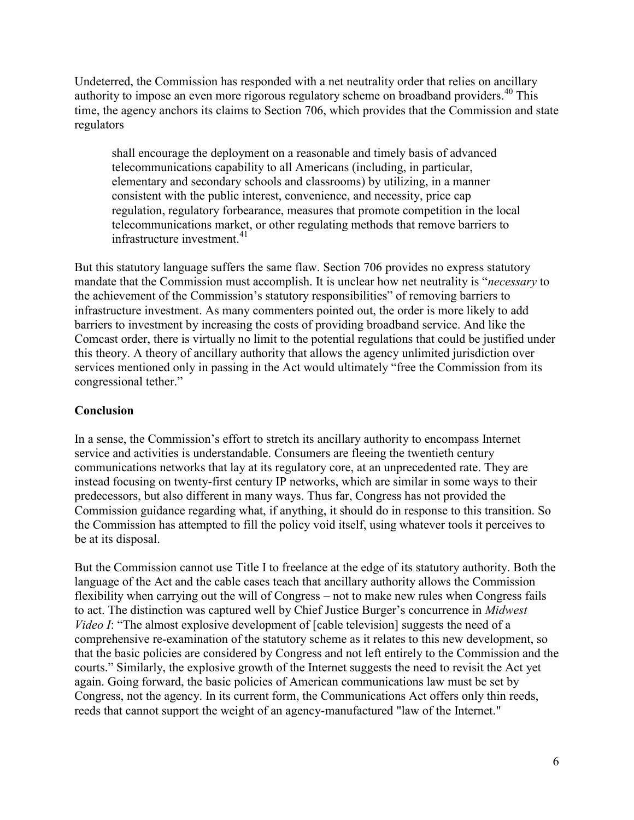Undeterred, the Commission has responded with a net neutrality order that relies on ancillary authority to impose an even more rigorous regulatory scheme on broadband providers.<sup>40</sup> This time, the agency anchors its claims to Section 706, which provides that the Commission and state regulators

shall encourage the deployment on a reasonable and timely basis of advanced telecommunications capability to all Americans (including, in particular, elementary and secondary schools and classrooms) by utilizing, in a manner consistent with the public interest, convenience, and necessity, price cap regulation, regulatory forbearance, measures that promote competition in the local telecommunications market, or other regulating methods that remove barriers to infrastructure investment.<sup>41</sup>

But this statutory language suffers the same flaw. Section 706 provides no express statutory mandate that the Commission must accomplish. It is unclear how net neutrality is "*necessary* to the achievement of the Commission's statutory responsibilities" of removing barriers to infrastructure investment. As many commenters pointed out, the order is more likely to add barriers to investment by increasing the costs of providing broadband service. And like the Comcast order, there is virtually no limit to the potential regulations that could be justified under this theory. A theory of ancillary authority that allows the agency unlimited jurisdiction over services mentioned only in passing in the Act would ultimately "free the Commission from its congressional tether."

## **Conclusion**

In a sense, the Commission's effort to stretch its ancillary authority to encompass Internet service and activities is understandable. Consumers are fleeing the twentieth century communications networks that lay at its regulatory core, at an unprecedented rate. They are instead focusing on twenty-first century IP networks, which are similar in some ways to their predecessors, but also different in many ways. Thus far, Congress has not provided the Commission guidance regarding what, if anything, it should do in response to this transition. So the Commission has attempted to fill the policy void itself, using whatever tools it perceives to be at its disposal.

But the Commission cannot use Title I to freelance at the edge of its statutory authority. Both the language of the Act and the cable cases teach that ancillary authority allows the Commission flexibility when carrying out the will of Congress – not to make new rules when Congress fails to act. The distinction was captured well by Chief Justice Burger's concurrence in *Midwest Video I*: "The almost explosive development of [cable television] suggests the need of a comprehensive re-examination of the statutory scheme as it relates to this new development, so that the basic policies are considered by Congress and not left entirely to the Commission and the courts." Similarly, the explosive growth of the Internet suggests the need to revisit the Act yet again. Going forward, the basic policies of American communications law must be set by Congress, not the agency. In its current form, the Communications Act offers only thin reeds, reeds that cannot support the weight of an agency-manufactured "law of the Internet."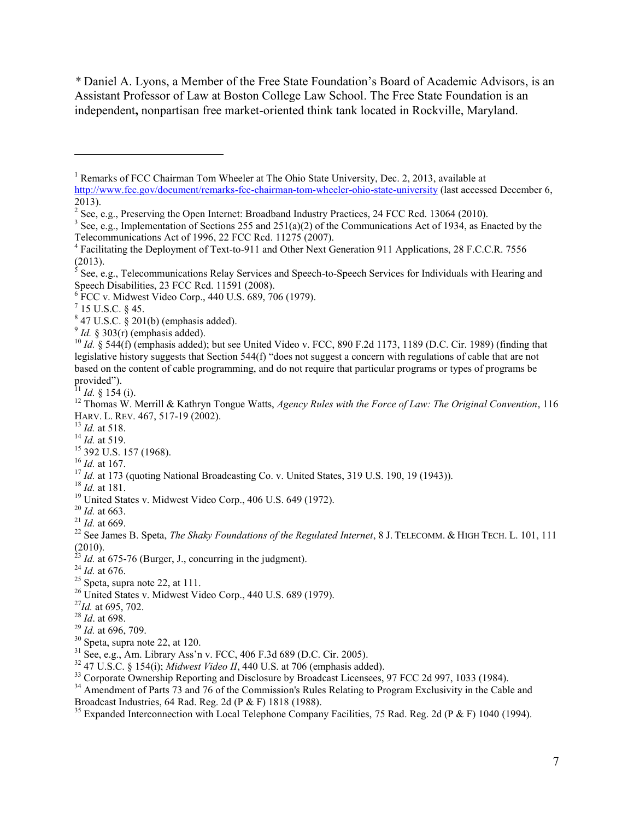*\** Daniel A. Lyons, a Member of the Free State Foundation's Board of Academic Advisors, is an Assistant Professor of Law at Boston College Law School. The Free State Foundation is an independent**,** nonpartisan free market-oriented think tank located in Rockville, Maryland.

 $\overline{a}$ 

<sup>13</sup> *Id.* at 518.

<sup>16</sup> *Id.* at 167.

- <sup>18</sup> *Id.* at 181.
- <sup>19</sup> United States v. Midwest Video Corp., 406 U.S. 649 (1972).
- <sup>20</sup> *Id.* at 663.
- <sup>21</sup> *Id.* at 669.

- *Id.* at 675-76 (Burger, J., concurring in the judgment).
- <sup>24</sup> *Id.* at 676.
- $25$  Speta, supra note 22, at 111.
- <sup>26</sup> United States v. Midwest Video Corp., 440 U.S. 689 (1979).
- <sup>27</sup>*Id.* at 695, 702.
- <sup>28</sup> *Id*. at 698.
- <sup>29</sup> *Id.* at 696, 709.
- $30$  Speta, supra note 22, at 120.
- $31$  See, e.g., Am. Library Ass'n v. FCC, 406 F.3d 689 (D.C. Cir. 2005).
- <sup>32</sup> 47 U.S.C. § 154(i); *Midwest Video II*, 440 U.S. at 706 (emphasis added).
- <sup>33</sup> Corporate Ownership Reporting and Disclosure by Broadcast Licensees, 97 FCC 2d 997, 1033 (1984).

<sup>35</sup> Expanded Interconnection with Local Telephone Company Facilities, 75 Rad. Reg. 2d (P & F) 1040 (1994).

<sup>&</sup>lt;sup>1</sup> Remarks of FCC Chairman Tom Wheeler at The Ohio State University, Dec. 2, 2013, available at <http://www.fcc.gov/document/remarks-fcc-chairman-tom-wheeler-ohio-state-university>(last accessed December 6,  $2013$ ).

<sup>&</sup>lt;sup>2</sup> See, e.g., Preserving the Open Internet: Broadband Industry Practices, 24 FCC Rcd. 13064 (2010).

<sup>&</sup>lt;sup>3</sup> See, e.g., Implementation of Sections 255 and 251(a)(2) of the Communications Act of 1934, as Enacted by the Telecommunications Act of 1996, 22 FCC Rcd. 11275 (2007).

<sup>&</sup>lt;sup>4</sup> Facilitating the Deployment of Text-to-911 and Other Next Generation 911 Applications, 28 F.C.C.R. 7556 (2013).

<sup>5</sup> See, e.g., Telecommunications Relay Services and Speech-to-Speech Services for Individuals with Hearing and Speech Disabilities, 23 FCC Rcd. 11591 (2008).

<sup>6</sup> FCC v. Midwest Video Corp., 440 U.S. 689, 706 (1979).

 $^7$  15 U.S.C. § 45.

 $847$  U.S.C.  $\S 201(b)$  (emphasis added).

 $9^9$  *Id.* § 303(r) (emphasis added).

<sup>10</sup> *Id.* § 544(f) (emphasis added); but see United Video v. FCC, 890 F.2d 1173, 1189 (D.C. Cir. 1989) (finding that legislative history suggests that Section 544(f) "does not suggest a concern with regulations of cable that are not based on the content of cable programming, and do not require that particular programs or types of programs be provided").

<sup>&</sup>lt;sup>11</sup> *Id.* § 154 (i).

<sup>12</sup> Thomas W. Merrill & Kathryn Tongue Watts, *Agency Rules with the Force of Law: The Original Convention*, 116 HARV. L. REV. 467, 517-19 (2002).

<sup>14</sup> *Id.* at 519.

<sup>&</sup>lt;sup>15</sup> 392 U.S. 157 (1968).

<sup>&</sup>lt;sup>17</sup> *Id.* at 173 (quoting National Broadcasting Co. v. United States, 319 U.S. 190, 19 (1943)).

<sup>&</sup>lt;sup>22</sup> See James B. Speta, *The Shaky Foundations of the Regulated Internet*, 8 J. TELECOMM. & HIGH TECH. L. 101, 111  $\frac{(2010)}{23}$ .

<sup>&</sup>lt;sup>34</sup> Amendment of Parts 73 and 76 of the Commission's Rules Relating to Program Exclusivity in the Cable and Broadcast Industries, 64 Rad. Reg. 2d (P & F) 1818 (1988).